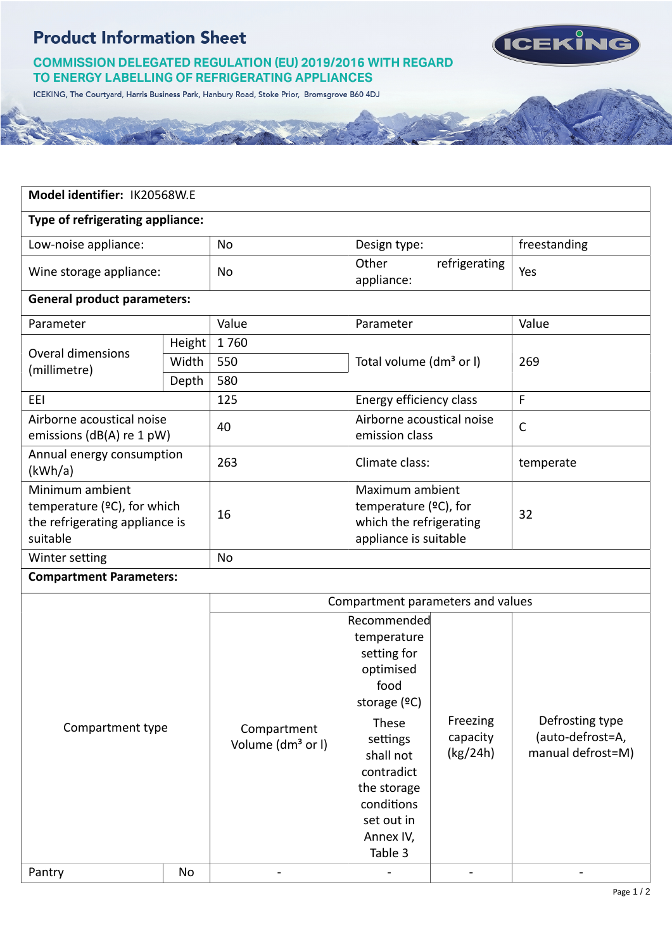$\mathcal{L} = \mathbb{R}$ 





ICEKING, The Courtyard, Harris Business Park, Hanbury Road, Stoke Prior, Bromsgrove B60 4DJ

| Model identifier: IK20568W.E                                                                     |        |                                              |                                                                                                                                                                                                     |                                  |                                                          |  |  |  |
|--------------------------------------------------------------------------------------------------|--------|----------------------------------------------|-----------------------------------------------------------------------------------------------------------------------------------------------------------------------------------------------------|----------------------------------|----------------------------------------------------------|--|--|--|
| Type of refrigerating appliance:                                                                 |        |                                              |                                                                                                                                                                                                     |                                  |                                                          |  |  |  |
| Low-noise appliance:                                                                             |        | No                                           | Design type:                                                                                                                                                                                        |                                  | freestanding                                             |  |  |  |
| Wine storage appliance:                                                                          |        | No                                           | Other<br>refrigerating<br>appliance:                                                                                                                                                                |                                  | Yes                                                      |  |  |  |
| <b>General product parameters:</b>                                                               |        |                                              |                                                                                                                                                                                                     |                                  |                                                          |  |  |  |
| Parameter                                                                                        |        | Value                                        | Parameter                                                                                                                                                                                           |                                  | Value                                                    |  |  |  |
|                                                                                                  | Height | 1760                                         | Total volume (dm <sup>3</sup> or I)                                                                                                                                                                 |                                  | 269                                                      |  |  |  |
| <b>Overal dimensions</b><br>(millimetre)                                                         | Width  | 550                                          |                                                                                                                                                                                                     |                                  |                                                          |  |  |  |
|                                                                                                  | Depth  | 580                                          |                                                                                                                                                                                                     |                                  |                                                          |  |  |  |
| EEI                                                                                              |        | 125                                          | Energy efficiency class                                                                                                                                                                             |                                  | F                                                        |  |  |  |
| Airborne acoustical noise<br>emissions (dB(A) re 1 pW)                                           |        | 40                                           | Airborne acoustical noise<br>emission class                                                                                                                                                         |                                  | $\mathsf{C}$                                             |  |  |  |
| Annual energy consumption<br>(kWh/a)                                                             |        | 263                                          | Climate class:                                                                                                                                                                                      |                                  | temperate                                                |  |  |  |
| Minimum ambient<br>temperature ( $°C$ ), for which<br>the refrigerating appliance is<br>suitable |        | 16                                           | Maximum ambient<br>temperature (°C), for<br>which the refrigerating<br>appliance is suitable                                                                                                        |                                  | 32                                                       |  |  |  |
| Winter setting                                                                                   |        | No                                           |                                                                                                                                                                                                     |                                  |                                                          |  |  |  |
| <b>Compartment Parameters:</b>                                                                   |        |                                              |                                                                                                                                                                                                     |                                  |                                                          |  |  |  |
| Compartment parameters and values                                                                |        |                                              |                                                                                                                                                                                                     |                                  |                                                          |  |  |  |
| Compartment type                                                                                 |        | Compartment<br>Volume (dm <sup>3</sup> or I) | Recommended<br>temperature<br>setting for<br>optimised<br>food<br>storage $(2C)$<br>These<br>settings<br>shall not<br>contradict<br>the storage<br>conditions<br>set out in<br>Annex IV,<br>Table 3 | Freezing<br>capacity<br>(kg/24h) | Defrosting type<br>(auto-defrost=A,<br>manual defrost=M) |  |  |  |

Pantry | No | - | - - -